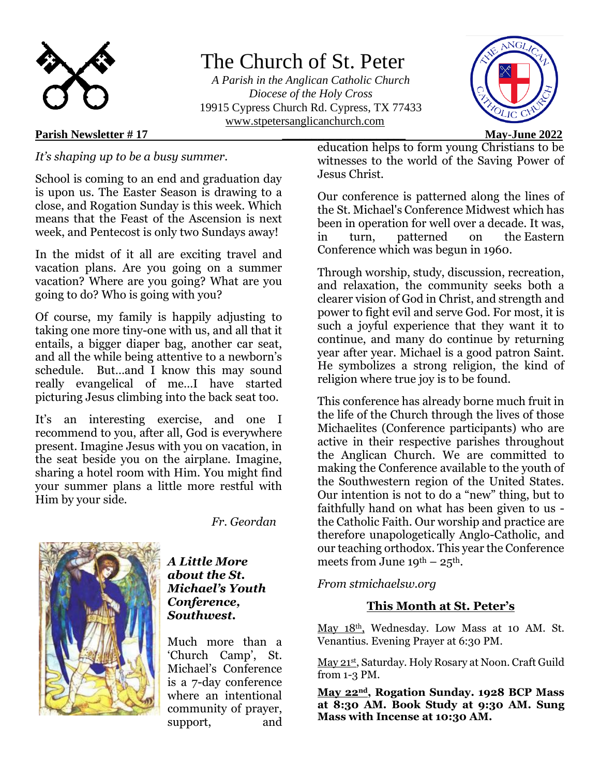

# The Church of St. Peter

 *A Parish in the Anglican Catholic Church Diocese of the Holy Cross* 19915 Cypress Church Rd. Cypress, TX 77433 [www.stpetersanglicanchurch.com](http://www.stpetersanglicanchurch.com/)

## **Parish Newsletter # 17 \_\_\_\_\_\_\_\_\_\_\_\_\_\_\_\_\_\_\_\_\_ May-June 2022**

*It's shaping up to be a busy summer.* 

School is coming to an end and graduation day is upon us. The Easter Season is drawing to a close, and Rogation Sunday is this week. Which means that the Feast of the Ascension is next week, and Pentecost is only two Sundays away!

In the midst of it all are exciting travel and vacation plans. Are you going on a summer vacation? Where are you going? What are you going to do? Who is going with you?

Of course, my family is happily adjusting to taking one more tiny-one with us, and all that it entails, a bigger diaper bag, another car seat, and all the while being attentive to a newborn's schedule. But…and I know this may sound really evangelical of me…I have started picturing Jesus climbing into the back seat too.

It's an interesting exercise, and one I recommend to you, after all, God is everywhere present. Imagine Jesus with you on vacation, in the seat beside you on the airplane. Imagine, sharing a hotel room with Him. You might find your summer plans a little more restful with Him by your side.

*Fr. Geordan*



### *A Little More about the St. Michael's Youth Conference, Southwest.*

Much more than a 'Church Camp', St. Michael's Conference is a 7-day conference where an intentional community of prayer, support, and education helps to form young Christians to be witnesses to the world of the Saving Power of Jesus Christ.

Our conference is patterned along the lines of the [St. Michael's Conference Midwest](http://www.stmichaelsmidwest.org/) which has been in operation for well over a decade. It was, in turn, patterned on the [Eastern](http://saintmichaelsconference.com/)  [Conference](http://saintmichaelsconference.com/) which was begun in 1960.

Through worship, study, discussion, recreation, and relaxation, the community seeks both a clearer vision of God in Christ, and strength and power to fight evil and serve God. For most, it is such a joyful experience that they want it to continue, and many do continue by returning year after year. Michael is a good patron Saint. He symbolizes a strong religion, the kind of religion where true joy is to be found.

This conference has already borne much fruit in the life of the Church through the lives of those Michaelites (Conference participants) who are active in their respective parishes throughout the Anglican Church. We are committed to making the Conference available to the youth of the Southwestern region of the United States. Our intention is not to do a "new" thing, but to faithfully hand on what has been given to us the Catholic Faith. Our worship and practice are therefore unapologetically Anglo-Catholic, and our teaching orthodox. This year the Conference meets from June  $19^{th} - 25^{th}$ .

# *From stmichaelsw.org*

# **This Month at St. Peter's**

May 18th, Wednesday. Low Mass at 10 AM. St. Venantius. Evening Prayer at 6:30 PM.

May 21st, Saturday. Holy Rosary at Noon. Craft Guild from 1-3 PM.

**May 22nd, Rogation Sunday. 1928 BCP Mass at 8:30 AM. Book Study at 9:30 AM. Sung Mass with Incense at 10:30 AM.** 

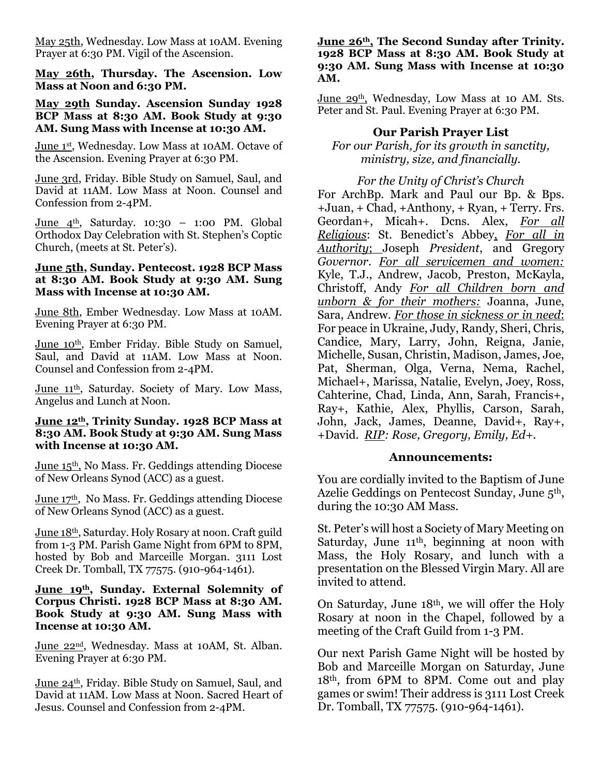May 25th, Wednesday. Low Mass at 10AM. Evening Prayer at 6:30 PM. Vigil of the Ascension.

**May 26th, Thursday. The Ascension. Low Mass at Noon and 6:30 PM.** 

#### **May 29th Sunday. Ascension Sunday 1928 BCP Mass at 8:30 AM. Book Study at 9:30 AM. Sung Mass with Incense at 10:30 AM.**

June 1st, Wednesday. Low Mass at 10AM. Octave of the Ascension. Evening Prayer at 6:30 PM.

June 3rd, Friday. Bible Study on Samuel, Saul, and David at 11AM. Low Mass at Noon. Counsel and Confession from 2-4PM.

June  $4^{\text{th}}$ , Saturday. 10:30 – 1:00 PM. Global Orthodox Day Celebration with St. Stephen's Coptic Church, (meets at St. Peter's).

#### **June 5th, Sunday. Pentecost. 1928 BCP Mass at 8:30 AM. Book Study at 9:30 AM. Sung Mass with Incense at 10:30 AM.**

June 8th, Ember Wednesday. Low Mass at 10AM. Evening Prayer at 6:30 PM.

June 10<sup>th</sup>, Ember Friday. Bible Study on Samuel, Saul, and David at 11AM. Low Mass at Noon. Counsel and Confession from 2-4PM.

June 11th, Saturday. Society of Mary. Low Mass, Angelus and Lunch at Noon.

#### **June 12th, Trinity Sunday. 1928 BCP Mass at 8:30 AM. Book Study at 9:30 AM. Sung Mass with Incense at 10:30 AM.**

June 15th, No Mass. Fr. Geddings attending Diocese of New Orleans Synod (ACC) as a guest.

June 17th, No Mass. Fr. Geddings attending Diocese of New Orleans Synod (ACC) as a guest.

June 18th, Saturday. Holy Rosary at noon. Craft guild from 1-3 PM. Parish Game Night from 6PM to 8PM, hosted by Bob and Marceille Morgan. 3111 Lost Creek Dr. Tomball, TX 77575. (910-964-1461).

#### **June 19th, Sunday. External Solemnity of Corpus Christi. 1928 BCP Mass at 8:30 AM. Book Study at 9:30 AM. Sung Mass with Incense at 10:30 AM.**

June 22<sup>nd</sup>, Wednesday. Mass at 10AM, St. Alban. Evening Prayer at 6:30 PM.

June 24th, Friday. Bible Study on Samuel, Saul, and David at 11AM. Low Mass at Noon. Sacred Heart of Jesus. Counsel and Confession from 2-4PM.

#### **June 26th, The Second Sunday after Trinity. 1928 BCP Mass at 8:30 AM. Book Study at 9:30 AM. Sung Mass with Incense at 10:30 AM.**

June 29<sup>th</sup>, Wednesday, Low Mass at 10 AM. Sts. Peter and St. Paul. Evening Prayer at 6:30 PM.

# **Our Parish Prayer List**

*For our Parish, for its growth in sanctity, ministry, size, and financially.*

*For the Unity of Christ's Church* For ArchBp. Mark and Paul our Bp. & Bps. +Juan, + Chad, +Anthony, + Ryan, + Terry. Frs. Geordan+, Micah+. Dcns. Alex, *For all Religious*: St. Benedict's Abbey, *For all in Authority*; Joseph *President*, and Gregory *Governor*. *For all servicemen and women:* Kyle, T.J., Andrew, Jacob, Preston, McKayla, Christoff, Andy *For all Children born and unborn & for their mothers:* Joanna, June, Sara, Andrew. *For those in sickness or in need*: For peace in Ukraine, Judy, Randy, Sheri, Chris, Candice, Mary, Larry, John, Reigna, Janie, Michelle, Susan, Christin, Madison, James, Joe, Pat, Sherman, Olga, Verna, Nema, Rachel, Michael+, Marissa, Natalie, Evelyn, Joey, Ross, Cahterine, Chad, Linda, Ann, Sarah, Francis+, Ray+, Kathie, Alex, Phyllis, Carson, Sarah, John, Jack, James, Deanne, David+, Ray+, +David. *RIP: Rose, Gregory, Emily, Ed+.* 

#### **Announcements:**

You are cordially invited to the Baptism of June Azelie Geddings on Pentecost Sunday, June 5th, during the 10:30 AM Mass.

St. Peter's will host a Society of Mary Meeting on Saturday, June 11<sup>th</sup>, beginning at noon with Mass, the Holy Rosary, and lunch with a presentation on the Blessed Virgin Mary. All are invited to attend.

On Saturday, June 18th, we will offer the Holy Rosary at noon in the Chapel, followed by a meeting of the Craft Guild from 1-3 PM.

Our next Parish Game Night will be hosted by Bob and Marceille Morgan on Saturday, June 18th, from 6PM to 8PM. Come out and play games or swim! Their address is 3111 Lost Creek Dr. Tomball, TX 77575. (910-964-1461).